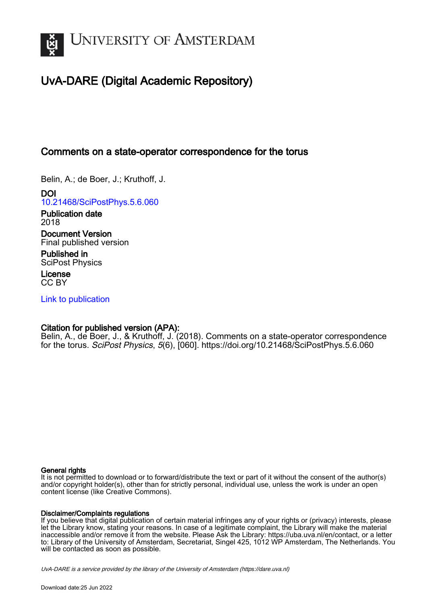

# UvA-DARE (Digital Academic Repository)

# Comments on a state-operator correspondence for the torus

Belin, A.; de Boer, J.; Kruthoff, J.

DOI [10.21468/SciPostPhys.5.6.060](https://doi.org/10.21468/SciPostPhys.5.6.060)

Publication date 2018

Document Version Final published version

Published in SciPost Physics

License CC BY

[Link to publication](https://dare.uva.nl/personal/pure/en/publications/comments-on-a-stateoperator-correspondence-for-the-torus(c0c34abc-8508-4204-bd3b-aa32266da313).html)

## Citation for published version (APA):

Belin, A., de Boer, J., & Kruthoff, J. (2018). Comments on a state-operator correspondence for the torus. SciPost Physics, 5(6), [060]. <https://doi.org/10.21468/SciPostPhys.5.6.060>

#### General rights

It is not permitted to download or to forward/distribute the text or part of it without the consent of the author(s) and/or copyright holder(s), other than for strictly personal, individual use, unless the work is under an open content license (like Creative Commons).

#### Disclaimer/Complaints regulations

If you believe that digital publication of certain material infringes any of your rights or (privacy) interests, please let the Library know, stating your reasons. In case of a legitimate complaint, the Library will make the material inaccessible and/or remove it from the website. Please Ask the Library: https://uba.uva.nl/en/contact, or a letter to: Library of the University of Amsterdam, Secretariat, Singel 425, 1012 WP Amsterdam, The Netherlands. You will be contacted as soon as possible.

UvA-DARE is a service provided by the library of the University of Amsterdam (http*s*://dare.uva.nl)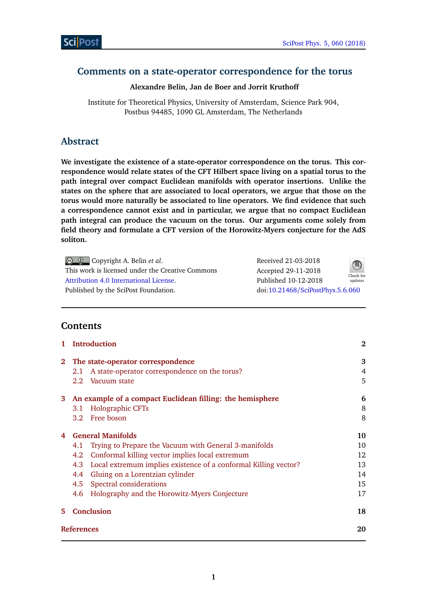# **Comments on a state-operator correspondence for the torus**

### **Alexandre Belin, Jan de Boer and Jorrit Kruthoff**

Institute for Theoretical Physics, University of Amsterdam, Science Park 904, Postbus 94485, 1090 GL Amsterdam, The Netherlands

# **Abstract**

**We investigate the existence of a state-operator correspondence on the torus. This correspondence would relate states of the CFT Hilbert space living on a spatial torus to the path integral over compact Euclidean manifolds with operator insertions. Unlike the states on the sphere that are associated to local operators, we argue that those on the torus would more naturally be associated to line operators. We find evidence that such a correspondence cannot exist and in particular, we argue that no compact Euclidean path integral can produce the vacuum on the torus. Our arguments come solely from field theory and formulate a CFT version of the Horowitz-Myers conjecture for the AdS soliton.**

| $\bigcirc$ $\bigcirc$ Copyright A. Belin <i>et al.</i> | Received 21-03-2018              | $\bigcirc$           |
|--------------------------------------------------------|----------------------------------|----------------------|
| This work is licensed under the Creative Commons       | Accepted 29-11-2018              |                      |
| Attribution 4.0 International License.                 | Published 10-12-2018             | Check for<br>updates |
| Published by the SciPost Foundation.                   | doi:10.21468/SciPostPhys.5.6.060 |                      |

# **Contents**

| 1           |                          | <b>Introduction</b>                                                 | $\bf{2}$ |
|-------------|--------------------------|---------------------------------------------------------------------|----------|
| $2^{\circ}$ |                          | The state-operator correspondence                                   | 3        |
|             | 2.1                      | A state-operator correspondence on the torus?                       | 4        |
|             | $2.2^{\circ}$            | Vacuum state                                                        | 5        |
|             |                          | 3 An example of a compact Euclidean filling: the hemisphere         | 6        |
|             | 3.1                      | Holographic CFTs                                                    | 8        |
|             |                          | 3.2 Free boson                                                      | 8        |
| 4           | <b>General Manifolds</b> |                                                                     | 10       |
|             | 4.1                      | Trying to Prepare the Vacuum with General 3-manifolds               | 10       |
|             | 4.2                      | Conformal killing vector implies local extremum                     | 12       |
|             |                          | 4.3 Local extremum implies existence of a conformal Killing vector? | 13       |
|             |                          | 4.4 Gluing on a Lorentzian cylinder                                 | 14       |
|             | 4.5                      | Spectral considerations                                             | 15       |
|             | 4.6                      | Holography and the Horowitz-Myers Conjecture                        | 17       |
| 5.          |                          | <b>Conclusion</b>                                                   | 18       |
|             | <b>References</b>        |                                                                     | 20       |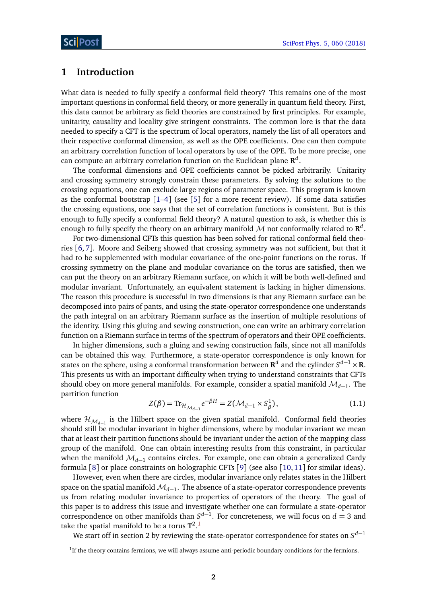### <span id="page-2-0"></span>**1 Introduction**

What data is needed to fully specify a conformal field theory? This remains one of the most important questions in conformal field theory, or more generally in quantum field theory. First, this data cannot be arbitrary as field theories are constrained by first principles. For example, unitarity, causality and locality give stringent constraints. The common lore is that the data needed to specify a CFT is the spectrum of local operators, namely the list of all operators and their respective conformal dimension, as well as the OPE coefficients. One can then compute an arbitrary correlation function of local operators by use of the OPE. To be more precise, one can compute an arbitrary correlation function on the Euclidean plane  $\mathbf{R}^{d}$ .

The conformal dimensions and OPE coefficients cannot be picked arbitrarily. Unitarity and crossing symmetry strongly constrain these parameters. By solving the solutions to the crossing equations, one can exclude large regions of parameter space. This program is known as the conformal bootstrap [[1–](#page-20-0)[4](#page-20-1)] (see [[5](#page-20-2)] for a more recent review). If some data satisfies the crossing equations, one says that the set of correlation functions is consistent. But is this enough to fully specify a conformal field theory? A natural question to ask, is whether this is enough to fully specify the theory on an arbitrary manifold  ${\cal M}$  not conformally related to  ${\bf R}^d$ .

For two-dimensional CFTs this question has been solved for rational conformal field theories [[6,](#page-20-3) [7](#page-20-4)]. Moore and Seiberg showed that crossing symmetry was not sufficient, but that it had to be supplemented with modular covariance of the one-point functions on the torus. If crossing symmetry on the plane and modular covariance on the torus are satisfied, then we can put the theory on an arbitrary Riemann surface, on which it will be both well-defined and modular invariant. Unfortunately, an equivalent statement is lacking in higher dimensions. The reason this procedure is successful in two dimensions is that any Riemann surface can be decomposed into pairs of pants, and using the state-operator correspondence one understands the path integral on an arbitrary Riemann surface as the insertion of multiple resolutions of the identity. Using this gluing and sewing construction, one can write an arbitrary correlation function on a Riemann surface in terms of the spectrum of operators and their OPE coefficients.

In higher dimensions, such a gluing and sewing construction fails, since not all manifolds can be obtained this way. Furthermore, a state-operator correspondence is only known for states on the sphere, using a conformal transformation between  $\mathbf{R}^d$  and the cylinder  $S^{d-1} \times \mathbf{R}$ . This presents us with an important difficulty when trying to understand constraints that CFTs should obey on more general manifolds. For example, consider a spatial manifold  $\mathcal{M}_{d-1}.$  The partition function

$$
Z(\beta) = \text{Tr}_{\mathcal{H}_{\mathcal{M}_{d-1}}} e^{-\beta H} = Z(\mathcal{M}_{d-1} \times S_{\beta}^1), \tag{1.1}
$$

where  $\mathcal{H}_{\mathcal{M}_{d-1}}$  is the Hilbert space on the given spatial manifold. Conformal field theories should still be modular invariant in higher dimensions, where by modular invariant we mean that at least their partition functions should be invariant under the action of the mapping class group of the manifold. One can obtain interesting results from this constraint, in particular when the manifold M*d*−<sup>1</sup> contains circles. For example, one can obtain a generalized Cardy formula [[8](#page-20-5)] or place constraints on holographic CFTs [[9](#page-20-6)] (see also [[10,](#page-20-7)[11](#page-21-0)] for similar ideas).

However, even when there are circles, modular invariance only relates states in the Hilbert space on the spatial manifold  $\mathcal{M}_{d-1}.$  The absence of a state-operator correspondence prevents us from relating modular invariance to properties of operators of the theory. The goal of this paper is to address this issue and investigate whether one can formulate a state-operator correspondence on other manifolds than  $S^{d-1}$ . For concreteness, we will focus on  $d = 3$  and take the spatial manifold to be a torus **T** 2 . [1](#page-2-1)

We start off in section 2 by reviewing the state-operator correspondence for states on *S d*−1

<span id="page-2-1"></span><sup>&</sup>lt;sup>1</sup>If the theory contains fermions, we will always assume anti-periodic boundary conditions for the fermions.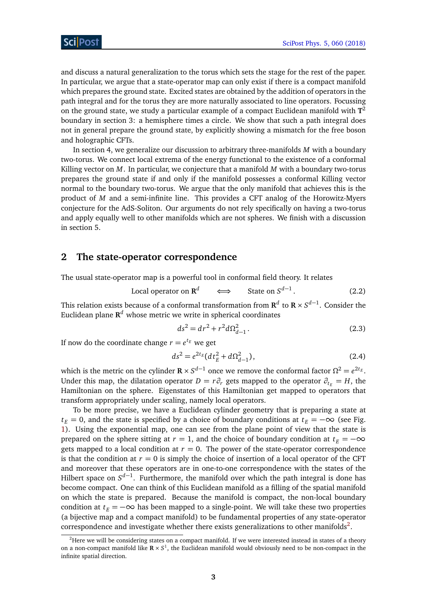and discuss a natural generalization to the torus which sets the stage for the rest of the paper. In particular, we argue that a state-operator map can only exist if there is a compact manifold which prepares the ground state. Excited states are obtained by the addition of operators in the path integral and for the torus they are more naturally associated to line operators. Focussing on the ground state, we study a particular example of a compact Euclidean manifold with **T** 2 boundary in section 3: a hemisphere times a circle. We show that such a path integral does not in general prepare the ground state, by explicitly showing a mismatch for the free boson and holographic CFTs.

In section 4, we generalize our discussion to arbitrary three-manifolds *M* with a boundary two-torus. We connect local extrema of the energy functional to the existence of a conformal Killing vector on *M*. In particular, we conjecture that a manifold *M* with a boundary two-torus prepares the ground state if and only if the manifold possesses a conformal Killing vector normal to the boundary two-torus. We argue that the only manifold that achieves this is the product of *M* and a semi-infinite line. This provides a CFT analog of the Horowitz-Myers conjecture for the AdS-Soliton. Our arguments do not rely specifically on having a two-torus and apply equally well to other manifolds which are not spheres. We finish with a discussion in section 5.

### <span id="page-3-0"></span>**2 The state-operator correspondence**

The usual state-operator map is a powerful tool in conformal field theory. It relates

Local operator on 
$$
\mathbf{R}^d \iff
$$
 State on  $S^{d-1}$ . (2.2)

This relation exists because of a conformal transformation from  $\mathbf{R}^d$  to  $\mathbf{R} \times S^{d-1}$ . Consider the Euclidean plane  $\mathbf{R}^{d}$  whose metric we write in spherical coordinates

$$
ds^2 = dr^2 + r^2 d\Omega_{d-1}^2.
$$
 (2.3)

If now do the coordinate change  $r = e^{t_E}$  we get

$$
ds^2 = e^{2t_E} (dt_E^2 + d\Omega_{d-1}^2),
$$
\n(2.4)

which is the metric on the cylinder  $\mathbf{R} \times S^{d-1}$  once we remove the conformal factor  $\Omega^2 = e^{2t_E}$ . Under this map, the dilatation operator  $D = r \partial_r$  gets mapped to the operator  $\partial_t = H$ , the Hamiltonian on the sphere. Eigenstates of this Hamiltonian get mapped to operators that transform appropriately under scaling, namely local operators.

To be more precise, we have a Euclidean cylinder geometry that is preparing a state at  $t<sub>F</sub> = 0$ , and the state is specified by a choice of boundary conditions at  $t<sub>F</sub> = -\infty$  (see Fig. [1\)](#page-4-1). Using the exponential map, one can see from the plane point of view that the state is prepared on the sphere sitting at  $r = 1$ , and the choice of boundary condition at  $t_E = -\infty$ gets mapped to a local condition at  $r = 0$ . The power of the state-operator correspondence is that the condition at  $r = 0$  is simply the choice of insertion of a local operator of the CFT and moreover that these operators are in one-to-one correspondence with the states of the Hilbert space on *S<sup>d−1</sup>*. Furthermore, the manifold over which the path integral is done has become compact. One can think of this Euclidean manifold as a filling of the spatial manifold on which the state is prepared. Because the manifold is compact, the non-local boundary condition at  $t_E = -\infty$  has been mapped to a single-point. We will take these two properties (a bijective map and a compact manifold) to be fundamental properties of any state-operator correspondence and investigate whether there exists generalizations to other manifolds<sup>[2](#page-3-1)</sup>.

<span id="page-3-1"></span><sup>&</sup>lt;sup>2</sup>Here we will be considering states on a compact manifold. If we were interested instead in states of a theory on a non-compact manifold like  $\mathbb{R} \times S^1$ , the Euclidean manifold would obviously need to be non-compact in the infinite spatial direction.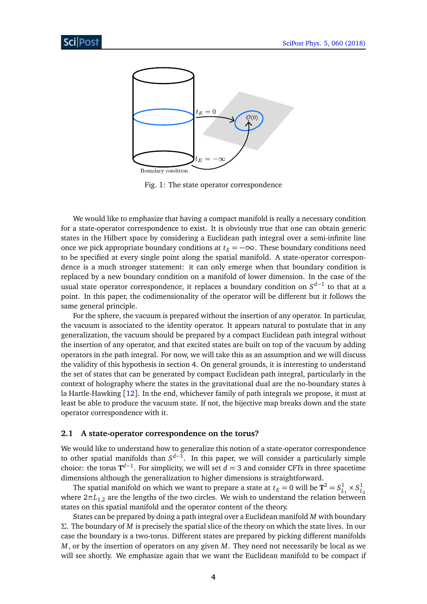<span id="page-4-1"></span>

Fig. 1: The state operator correspondence

We would like to emphasize that having a compact manifold is really a necessary condition for a state-operator correspondence to exist. It is obviously true that one can obtain generic states in the Hilbert space by considering a Euclidean path integral over a semi-infinite line once we pick appropriate boundary conditions at  $t_E = -\infty$ . These boundary conditions need to be specified at every single point along the spatial manifold. A state-operator correspondence is a much stronger statement: it can only emerge when that boundary condition is replaced by a new boundary condition on a manifold of lower dimension. In the case of the usual state operator correspondence, it replaces a boundary condition on *S d*−1 to that at a point. In this paper, the codimensionality of the operator will be different but it follows the same general principle.

For the sphere, the vacuum is prepared without the insertion of any operator. In particular, the vacuum is associated to the identity operator. It appears natural to postulate that in any generalization, the vacuum should be prepared by a compact Euclidean path integral without the insertion of any operator, and that excited states are built on top of the vacuum by adding operators in the path integral. For now, we will take this as an assumption and we will discuss the validity of this hypothesis in section 4. On general grounds, it is interesting to understand the set of states that can be generated by compact Euclidean path integral, particularly in the context of holography where the states in the gravitational dual are the no-boundary states à la Hartle-Hawking [[12](#page-21-1)]. In the end, whichever family of path integrals we propose, it must at least be able to produce the vacuum state. If not, the bijective map breaks down and the state operator correspondence with it.

#### <span id="page-4-0"></span>**2.1 A state-operator correspondence on the torus?**

We would like to understand how to generalize this notion of a state-operator correspondence to other spatial manifolds than *S d*−1 . In this paper, we will consider a particularly simple choice: the torus  $T^{d-1}$ . For simplicity, we will set  $d = 3$  and consider CFTs in three spacetime dimensions although the generalization to higher dimensions is straightforward.

The spatial manifold on which we want to prepare a state at  $t_E = 0$  will be  $T^2 = S^1_{L_1} \times S^1_{L_2}$ where  $2\pi L_{1,2}$  are the lengths of the two circles. We wish to understand the relation between states on this spatial manifold and the operator content of the theory.

States can be prepared by doing a path integral over a Euclidean manifold *M* with boundary *Σ*. The boundary of *M* is precisely the spatial slice of the theory on which the state lives. In our case the boundary is a two-torus. Different states are prepared by picking different manifolds *M*, or by the insertion of operators on any given *M*. They need not necessarily be local as we will see shortly. We emphasize again that we want the Euclidean manifold to be compact if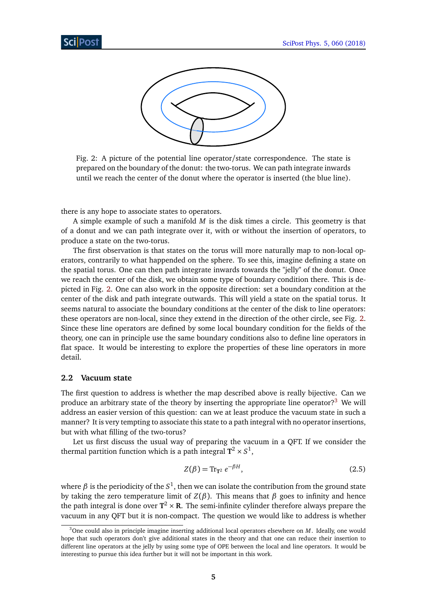<span id="page-5-1"></span>

Fig. 2: A picture of the potential line operator/state correspondence. The state is prepared on the boundary of the donut: the two-torus. We can path integrate inwards until we reach the center of the donut where the operator is inserted (the blue line).

there is any hope to associate states to operators.

A simple example of such a manifold *M* is the disk times a circle. This geometry is that of a donut and we can path integrate over it, with or without the insertion of operators, to produce a state on the two-torus.

The first observation is that states on the torus will more naturally map to non-local operators, contrarily to what happended on the sphere. To see this, imagine defining a state on the spatial torus. One can then path integrate inwards towards the "jelly" of the donut. Once we reach the center of the disk, we obtain some type of boundary condition there. This is depicted in Fig. [2.](#page-5-1) One can also work in the opposite direction: set a boundary condition at the center of the disk and path integrate outwards. This will yield a state on the spatial torus. It seems natural to associate the boundary conditions at the center of the disk to line operators: these operators are non-local, since they extend in the direction of the other circle, see Fig. [2.](#page-5-1) Since these line operators are defined by some local boundary condition for the fields of the theory, one can in principle use the same boundary conditions also to define line operators in flat space. It would be interesting to explore the properties of these line operators in more detail.

#### <span id="page-5-0"></span>**2.2 Vacuum state**

The first question to address is whether the map described above is really bijective. Can we produce an arbitrary state of the theory by inserting the appropriate line operator?[3](#page-5-2) We will address an easier version of this question: can we at least produce the vacuum state in such a manner? It is very tempting to associate this state to a path integral with no operator insertions, but with what filling of the two-torus?

Let us first discuss the usual way of preparing the vacuum in a QFT. If we consider the thermal partition function which is a path integral  $\textbf{T}^2 \times S^1,$ 

$$
Z(\beta) = \text{Tr}_{\mathbf{T}^2} e^{-\beta H},\tag{2.5}
$$

where  $\beta$  is the periodicity of the  $S^1$ , then we can isolate the contribution from the ground state by taking the zero temperature limit of *Z*(*β*). This means that *β* goes to infinity and hence the path integral is done over  $T^2 \times R$ . The semi-infinite cylinder therefore always prepare the vacuum in any QFT but it is non-compact. The question we would like to address is whether

<span id="page-5-2"></span><sup>3</sup>One could also in principle imagine inserting additional local operators elsewhere on *M*. Ideally, one would hope that such operators don't give additional states in the theory and that one can reduce their insertion to different line operators at the jelly by using some type of OPE between the local and line operators. It would be interesting to pursue this idea further but it will not be important in this work.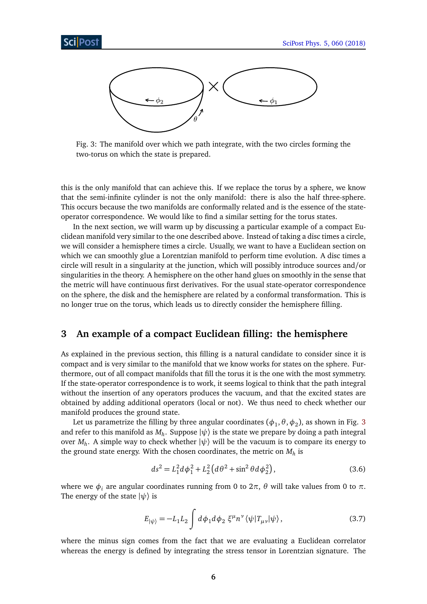<span id="page-6-1"></span>

Fig. 3: The manifold over which we path integrate, with the two circles forming the two-torus on which the state is prepared.

this is the only manifold that can achieve this. If we replace the torus by a sphere, we know that the semi-infinite cylinder is not the only manifold: there is also the half three-sphere. This occurs because the two manifolds are conformally related and is the essence of the stateoperator correspondence. We would like to find a similar setting for the torus states.

In the next section, we will warm up by discussing a particular example of a compact Euclidean manifold very similar to the one described above. Instead of taking a disc times a circle, we will consider a hemisphere times a circle. Usually, we want to have a Euclidean section on which we can smoothly glue a Lorentzian manifold to perform time evolution. A disc times a circle will result in a singularity at the junction, which will possibly introduce sources and/or singularities in the theory. A hemisphere on the other hand glues on smoothly in the sense that the metric will have continuous first derivatives. For the usual state-operator correspondence on the sphere, the disk and the hemisphere are related by a conformal transformation. This is no longer true on the torus, which leads us to directly consider the hemisphere filling.

### <span id="page-6-0"></span>**3 An example of a compact Euclidean filling: the hemisphere**

As explained in the previous section, this filling is a natural candidate to consider since it is compact and is very similar to the manifold that we know works for states on the sphere. Furthermore, out of all compact manifolds that fill the torus it is the one with the most symmetry. If the state-operator correspondence is to work, it seems logical to think that the path integral without the insertion of any operators produces the vacuum, and that the excited states are obtained by adding additional operators (local or not). We thus need to check whether our manifold produces the ground state.

Let us parametrize the filling by three angular coordinates  $(\phi_1,\theta,\phi_2)$ , as shown in Fig. [3](#page-6-1) and refer to this manifold as  $M_h$ . Suppose  $\ket{\psi}$  is the state we prepare by doing a path integral over  $M_h$ . A simple way to check whether  $|\psi\rangle$  will be the vacuum is to compare its energy to the ground state energy. With the chosen coordinates, the metric on *M<sup>h</sup>* is

$$
ds^{2} = L_{1}^{2}d\phi_{1}^{2} + L_{2}^{2}(d\theta^{2} + \sin^{2}\theta d\phi_{2}^{2}),
$$
\n(3.6)

where we  $\phi_i$  are angular coordinates running from 0 to  $2\pi$ ,  $\theta$  will take values from 0 to  $\pi$ . The energy of the state  $|\psi\rangle$  is

$$
E_{|\psi\rangle} = -L_1 L_2 \int d\phi_1 d\phi_2 \, \xi^\mu n^\nu \langle \psi | T_{\mu\nu} | \psi \rangle, \tag{3.7}
$$

where the minus sign comes from the fact that we are evaluating a Euclidean correlator whereas the energy is defined by integrating the stress tensor in Lorentzian signature. The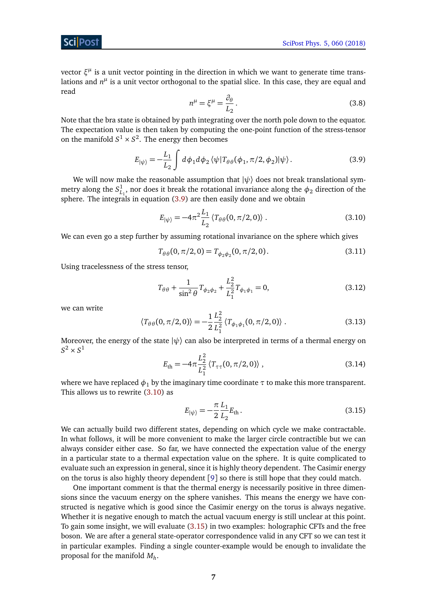vector ξ<sup>μ</sup> is a unit vector pointing in the direction in which we want to generate time translations and  $n^{\mu}$  is a unit vector orthogonal to the spatial slice. In this case, they are equal and read

<span id="page-7-0"></span>
$$
n^{\mu} = \xi^{\mu} = \frac{\partial_{\theta}}{L_2}.
$$
\n(3.8)

Note that the bra state is obtained by path integrating over the north pole down to the equator. The expectation value is then taken by computing the one-point function of the stress-tensor on the manifold  $S^1 \times S^2$ . The energy then becomes

$$
E_{|\psi\rangle} = -\frac{L_1}{L_2} \int d\phi_1 d\phi_2 \langle \psi | T_{\theta\theta}(\phi_1, \pi/2, \phi_2) | \psi \rangle.
$$
 (3.9)

We will now make the reasonable assumption that  $|\psi\rangle$  does not break translational symmetry along the  $S^1_{L_1}$ , nor does it break the rotational invariance along the  $\phi_2$  direction of the sphere. The integrals in equation  $(3.9)$  are then easily done and we obtain

<span id="page-7-1"></span>
$$
E_{|\psi\rangle} = -4\pi^2 \frac{L_1}{L_2} \langle T_{\theta\theta}(0, \pi/2, 0) \rangle . \tag{3.10}
$$

We can even go a step further by assuming rotational invariance on the sphere which gives

$$
T_{\theta\theta}(0,\pi/2,0) = T_{\phi_2\phi_2}(0,\pi/2,0). \tag{3.11}
$$

Using tracelessness of the stress tensor,

$$
T_{\theta\theta} + \frac{1}{\sin^2\theta} T_{\phi_2\phi_2} + \frac{L_2^2}{L_1^2} T_{\phi_1\phi_1} = 0,
$$
\n(3.12)

we can write

$$
\langle T_{\theta\theta}(0,\pi/2,0)\rangle = -\frac{1}{2}\frac{L_2^2}{L_1^2} \langle T_{\phi_1\phi_1}(0,\pi/2,0)\rangle.
$$
 (3.13)

Moreover, the energy of the state  $|\psi\rangle$  can also be interpreted in terms of a thermal energy on  $S^2 \times S^1$ 

$$
E_{\rm th} = -4\pi \frac{L_2^2}{L_1^2} \langle T_{\tau\tau}(0, \pi/2, 0) \rangle , \qquad (3.14)
$$

where we have replaced  $\phi_1$  by the imaginary time coordinate  $\tau$  to make this more transparent. This allows us to rewrite [\(3.10\)](#page-7-1) as

<span id="page-7-2"></span>
$$
E_{|\psi\rangle} = -\frac{\pi}{2} \frac{L_1}{L_2} E_{\text{th}}.
$$
\n(3.15)

We can actually build two different states, depending on which cycle we make contractable. In what follows, it will be more convenient to make the larger circle contractible but we can always consider either case. So far, we have connected the expectation value of the energy in a particular state to a thermal expectation value on the sphere. It is quite complicated to evaluate such an expression in general, since it is highly theory dependent. The Casimir energy on the torus is also highly theory dependent [[9](#page-20-6)] so there is still hope that they could match.

One important comment is that the thermal energy is necessarily positive in three dimensions since the vacuum energy on the sphere vanishes. This means the energy we have constructed is negative which is good since the Casimir energy on the torus is always negative. Whether it is negative enough to match the actual vacuum energy is still unclear at this point. To gain some insight, we will evaluate [\(3.15\)](#page-7-2) in two examples: holographic CFTs and the free boson. We are after a general state-operator correspondence valid in any CFT so we can test it in particular examples. Finding a single counter-example would be enough to invalidate the proposal for the manifold *M<sup>h</sup>* .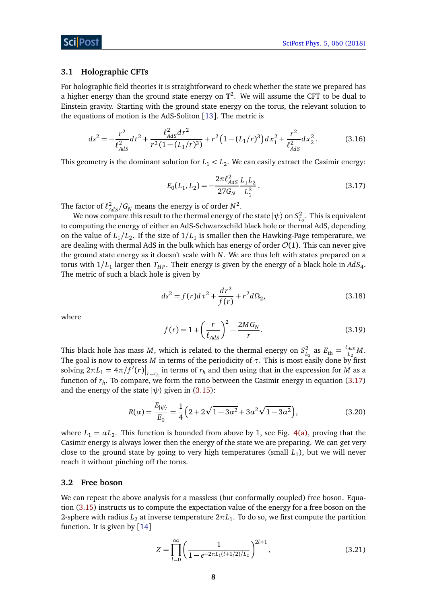#### <span id="page-8-0"></span>**3.1 Holographic CFTs**

For holographic field theories it is straightforward to check whether the state we prepared has a higher energy than the ground state energy on **T** 2 . We will assume the CFT to be dual to Einstein gravity. Starting with the ground state energy on the torus, the relevant solution to the equations of motion is the AdS-Soliton [[13](#page-21-2)]. The metric is

$$
ds^{2} = -\frac{r^{2}}{\ell_{AdS}^{2}}dt^{2} + \frac{\ell_{AdS}^{2}dr^{2}}{r^{2}(1 - (L_{1}/r)^{3})} + r^{2}(1 - (L_{1}/r)^{3})dx_{1}^{2} + \frac{r^{2}}{\ell_{AdS}^{2}}dx_{2}^{2}.
$$
 (3.16)

<span id="page-8-2"></span>This geometry is the dominant solution for  $L_1 < L_2$ . We can easily extract the Casimir energy:

$$
E_0(L_1, L_2) = -\frac{2\pi \ell_{AdS}^2}{27G_N} \frac{L_1 L_2}{L_1^3}.
$$
\n(3.17)

The factor of  $\ell_{AdS}^2/G_N$  means the energy is of order  $N^2$ .

We now compare this result to the thermal energy of the state  $|\psi\rangle$  on  $S^2_{L_2}$ . This is equivalent to computing the energy of either an AdS-Schwarzschild black hole or thermal AdS, depending on the value of  $L_1/L_2$ . If the size of  $1/L_1$  is smaller then the Hawking-Page temperature, we are dealing with thermal AdS in the bulk which has energy of order  $\mathcal{O}(1)$ . This can never give the ground state energy as it doesn't scale with *N*. We are thus left with states prepared on a torus with  $1/L_1$  larger then  $T_{HP}$ . Their energy is given by the energy of a black hole in  $AdS_4$ . The metric of such a black hole is given by

$$
ds^{2} = f(r)d\tau^{2} + \frac{dr^{2}}{f(r)} + r^{2}d\Omega_{2},
$$
\t(3.18)

where

<span id="page-8-3"></span>
$$
f(r) = 1 + \left(\frac{r}{\ell_{AdS}}\right)^2 - \frac{2MG_N}{r}.
$$
 (3.19)

This black hole has mass *M*, which is related to the thermal energy on  $S_{L_2}^2$  as  $E_{\text{th}} = \frac{\ell_{AdS}}{L_2}$  $\frac{AdS}{L_2}M$  . The goal is now to express *M* in terms of the periodicity of *τ*. This is most easily done by first solving  $2\pi L_1 = 4\pi/f'(r)|_{r=r_h}$  in terms of  $r_h$  and then using that in the expression for *M* as a function of *r<sup>h</sup>* . To compare, we form the ratio between the Casimir energy in equation [\(3.17\)](#page-8-2) and the energy of the state  $|\psi\rangle$  given in [\(3.15\)](#page-7-2):

$$
R(\alpha) = \frac{E_{|\psi\rangle}}{E_0} = \frac{1}{4} \left( 2 + 2\sqrt{1 - 3\alpha^2} + 3\alpha^2 \sqrt{1 - 3\alpha^2} \right),
$$
\n(3.20)

where  $L_1 = \alpha L_2$ . This function is bounded from above by 1, see Fig. [4\(a\),](#page-9-0) proving that the Casimir energy is always lower then the energy of the state we are preparing. We can get very close to the ground state by going to very high temperatures (small *L*<sup>1</sup> ), but we will never reach it without pinching off the torus.

#### <span id="page-8-1"></span>**3.2 Free boson**

We can repeat the above analysis for a massless (but conformally coupled) free boson. Equation [\(3.15\)](#page-7-2) instructs us to compute the expectation value of the energy for a free boson on the 2-sphere with radius  $L_2$  at inverse temperature  $2\pi L_1.$  To do so, we first compute the partition function. It is given by  $[14]$  $[14]$  $[14]$ 

$$
Z = \prod_{l=0}^{\infty} \left( \frac{1}{1 - e^{-2\pi L_1 (l+1/2)/L_2}} \right)^{2l+1},\tag{3.21}
$$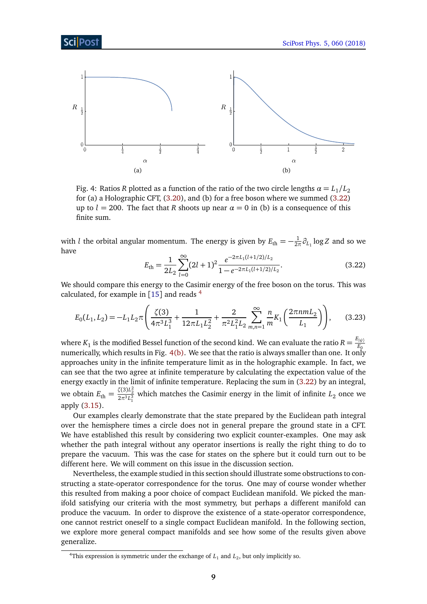<span id="page-9-0"></span>

Fig. 4: Ratios *R* plotted as a function of the ratio of the two circle lengths  $\alpha = L_1/L_2$ for (a) a Holographic CFT, [\(3.20\)](#page-8-3), and (b) for a free boson where we summed [\(3.22\)](#page-9-1) up to  $l = 200$ . The fact that *R* shoots up near  $\alpha = 0$  in (b) is a consequence of this finite sum.

<span id="page-9-1"></span>with *l* the orbital angular momentum. The energy is given by  $E_{\text{th}} = -\frac{1}{2\pi}$  $\frac{1}{2\pi}\partial_{L_1} \log Z$  and so we have

<span id="page-9-3"></span>
$$
E_{\rm th} = \frac{1}{2L_2} \sum_{l=0}^{\infty} (2l+1)^2 \frac{e^{-2\pi L_1(l+1/2)/L_2}}{1 - e^{-2\pi L_1(l+1/2)/L_2}}.
$$
(3.22)

We should compare this energy to the Casimir energy of the free boson on the torus. This was calculated, for example in [[15](#page-21-4)] and reads<sup>[4](#page-9-2)</sup>

$$
E_0(L_1, L_2) = -L_1 L_2 \pi \left( \frac{\zeta(3)}{4\pi^3 L_1^3} + \frac{1}{12\pi L_1 L_2^2} + \frac{2}{\pi^2 L_1^2 L_2} \sum_{m,n=1}^{\infty} \frac{n}{m} K_1 \left( \frac{2\pi n m L_2}{L_1} \right) \right), \tag{3.23}
$$

where  $K_1$  is the modified Bessel function of the second kind. We can evaluate the ratio  $R=\frac{E_{\ket{\psi}}}{E_0}$  $E_{\mathcal{G}}$ numerically, which results in Fig.  $4(b)$ . We see that the ratio is always smaller than one. It only approaches unity in the infinite temperature limit as in the holographic example. In fact, we can see that the two agree at infinite temperature by calculating the expectation value of the energy exactly in the limit of infinite temperature. Replacing the sum in [\(3.22\)](#page-9-1) by an integral, we obtain  $E_{\text{th}} = \frac{\zeta(3)L_2^2}{2\pi^3 L_1^3}$  which matches the Casimir energy in the limit of infinite  $L_2$  once we apply [\(3.15\)](#page-7-2).

Our examples clearly demonstrate that the state prepared by the Euclidean path integral over the hemisphere times a circle does not in general prepare the ground state in a CFT. We have established this result by considering two explicit counter-examples. One may ask whether the path integral without any operator insertions is really the right thing to do to prepare the vacuum. This was the case for states on the sphere but it could turn out to be different here. We will comment on this issue in the discussion section.

Nevertheless, the example studied in this section should illustrate some obstructions to constructing a state-operator correspondence for the torus. One may of course wonder whether this resulted from making a poor choice of compact Euclidean manifold. We picked the manifold satisfying our criteria with the most symmetry, but perhaps a different manifold can produce the vacuum. In order to disprove the existence of a state-operator correspondence, one cannot restrict oneself to a single compact Euclidean manifold. In the following section, we explore more general compact manifolds and see how some of the results given above generalize.

<span id="page-9-2"></span><sup>&</sup>lt;sup>4</sup>This expression is symmetric under the exchange of  $L_1$  and  $L_2$ , but only implicitly so.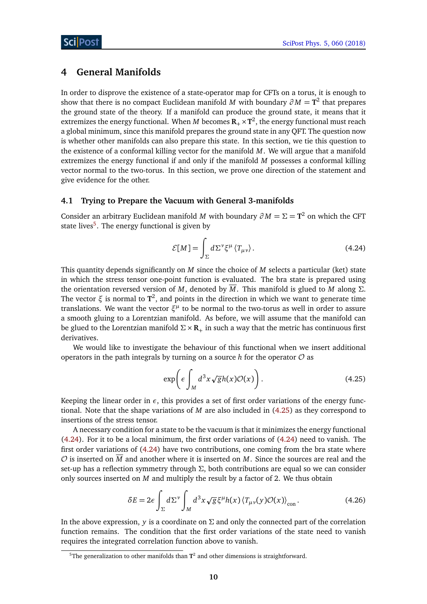# <span id="page-10-0"></span>**4 General Manifolds**

In order to disprove the existence of a state-operator map for CFTs on a torus, it is enough to show that there is no compact Euclidean manifold *M* with boundary  $\partial M = \mathbf{T}^2$  that prepares the ground state of the theory. If a manifold can produce the ground state, it means that it extremizes the energy functional. When  $M$  becomes  $\mathbf{R}_{+} \times \mathbf{T}^{2}$ , the energy functional must reach a global minimum, since this manifold prepares the ground state in any QFT. The question now is whether other manifolds can also prepare this state. In this section, we tie this question to the existence of a conformal killing vector for the manifold *M*. We will argue that a manifold extremizes the energy functional if and only if the manifold *M* possesses a conformal killing vector normal to the two-torus. In this section, we prove one direction of the statement and give evidence for the other.

### <span id="page-10-1"></span>**4.1 Trying to Prepare the Vacuum with General 3-manifolds**

Consider an arbitrary Euclidean manifold *M* with boundary  $\partial M = \Sigma = \mathbf{T}^2$  on which the CFT state lives<sup>[5](#page-10-2)</sup>. The energy functional is given by

<span id="page-10-4"></span>
$$
\mathcal{E}[M] = \int_{\Sigma} d\Sigma^{\nu} \xi^{\mu} \langle T_{\mu\nu} \rangle. \tag{4.24}
$$

This quantity depends significantly on *M* since the choice of *M* selects a particular (ket) state in which the stress tensor one-point function is evaluated. The bra state is prepared using the orientation reversed version of *M*, denoted by  $\overline{M}$ . This manifold is glued to *M* along  $\Sigma$ . The vector *ξ* is normal to **T** 2 , and points in the direction in which we want to generate time translations. We want the vector  $\xi^{\mu}$  to be normal to the two-torus as well in order to assure a smooth gluing to a Lorentzian manifold. As before, we will assume that the manifold can be glued to the Lorentzian manifold  $\Sigma \times \mathbb{R}_+$  in such a way that the metric has continuous first derivatives.

We would like to investigate the behaviour of this functional when we insert additional operators in the path integrals by turning on a source  $h$  for the operator  $\mathcal O$  as

<span id="page-10-3"></span>
$$
\exp\left(\epsilon \int_M d^3x \sqrt{g} h(x) \mathcal{O}(x)\right). \tag{4.25}
$$

Keeping the linear order in  $\epsilon$ , this provides a set of first order variations of the energy functional. Note that the shape variations of *M* are also included in [\(4.25\)](#page-10-3) as they correspond to insertions of the stress tensor.

A necessary condition for a state to be the vacuum is that it minimizes the energy functional [\(4.24\)](#page-10-4). For it to be a local minimum, the first order variations of [\(4.24\)](#page-10-4) need to vanish. The first order variations of [\(4.24\)](#page-10-4) have two contributions, one coming from the bra state where  $\mathcal O$  is inserted on  $\overline M$  and another where it is inserted on  $M$ . Since the sources are real and the set-up has a reflection symmetry through *Σ*, both contributions are equal so we can consider only sources inserted on *M* and multiply the result by a factor of 2. We thus obtain

$$
\delta E = 2\epsilon \int_{\Sigma} d\Sigma^{\nu} \int_{M} d^{3}x \sqrt{g} \xi^{\mu} h(x) \left\langle T_{\mu\nu}(y) \mathcal{O}(x) \right\rangle_{\text{con}}.
$$
 (4.26)

In the above expression, *y* is a coordinate on  $\Sigma$  and only the connected part of the correlation function remains. The condition that the first order variations of the state need to vanish requires the integrated correlation function above to vanish.

<span id="page-10-2"></span> $5$ The generalization to other manifolds than  $T^2$  and other dimensions is straightforward.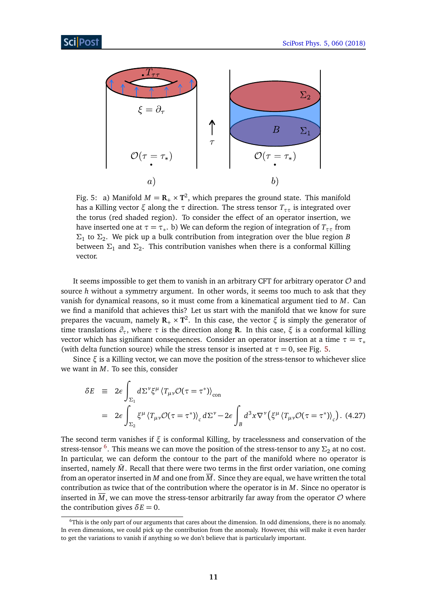<span id="page-11-0"></span>

Fig. 5: a) Manifold  $M = \mathbf{R}_{+} \times \mathbf{T}^{2}$ , which prepares the ground state. This manifold has a Killing vector *ξ* along the *τ* direction. The stress tensor *Tττ* is integrated over the torus (red shaded region). To consider the effect of an operator insertion, we have inserted one at  $\tau = \tau_*$ . b) We can deform the region of integration of  $T_{\tau\tau}$  from *Σ*1 to *Σ*<sup>2</sup> . We pick up a bulk contribution from integration over the blue region *B* between  $\Sigma_1$  and  $\Sigma_2$ . This contribution vanishes when there is a conformal Killing vector.

It seems impossible to get them to vanish in an arbitrary CFT for arbitrary operator  $\mathcal O$  and source *h* without a symmetry argument. In other words, it seems too much to ask that they vanish for dynamical reasons, so it must come from a kinematical argument tied to *M*. Can we find a manifold that achieves this? Let us start with the manifold that we know for sure prepares the vacuum, namely  $\mathbf{R}_{+} \times \mathbf{T}^{2}$ . In this case, the vector *ξ* is simply the generator of time translations *∂τ*, where *τ* is the direction along **R**. In this case, *ξ* is a conformal killing vector which has significant consequences. Consider an operator insertion at a time  $\tau = \tau_*$ (with delta function source) while the stress tensor is inserted at  $\tau = 0$ , see Fig. [5.](#page-11-0)

Since *ξ* is a Killing vector, we can move the position of the stress-tensor to whichever slice we want in *M*. To see this, consider

<span id="page-11-2"></span>
$$
\delta E = 2\epsilon \int_{\Sigma_1} d\Sigma^{\nu} \xi^{\mu} \left\langle T_{\mu\nu} \mathcal{O}(\tau = \tau^*) \right\rangle_{\text{con}}
$$
  
= 
$$
2\epsilon \int_{\Sigma_2} \xi^{\mu} \left\langle T_{\mu\nu} \mathcal{O}(\tau = \tau^*) \right\rangle_c d\Sigma^{\nu} - 2\epsilon \int_B d^3x \nabla^{\nu} \left( \xi^{\mu} \left\langle T_{\mu\nu} \mathcal{O}(\tau = \tau^*) \right\rangle_c \right).
$$
 (4.27)

The second term vanishes if *ξ* is conformal Killing, by tracelessness and conservation of the stress-tensor <sup>[6](#page-11-1)</sup>. This means we can move the position of the stress-tensor to any  $\Sigma_2$  at no cost. In particular, we can deform the contour to the part of the manifold where no operator is inserted, namely  $\bar{M}$ . Recall that there were two terms in the first order variation, one coming from an operator inserted in *M* and one from  $\overline{M}$ . Since they are equal, we have written the total contribution as twice that of the contribution where the operator is in *M*. Since no operator is inserted in  $\overline{M}$ , we can move the stress-tensor arbitrarily far away from the operator  $\mathcal O$  where the contribution gives  $\delta E = 0$ .

<span id="page-11-1"></span><sup>6</sup>This is the only part of our arguments that cares about the dimension. In odd dimensions, there is no anomaly. In even dimensions, we could pick up the contribution from the anomaly. However, this will make it even harder to get the variations to vanish if anything so we don't believe that is particularly important.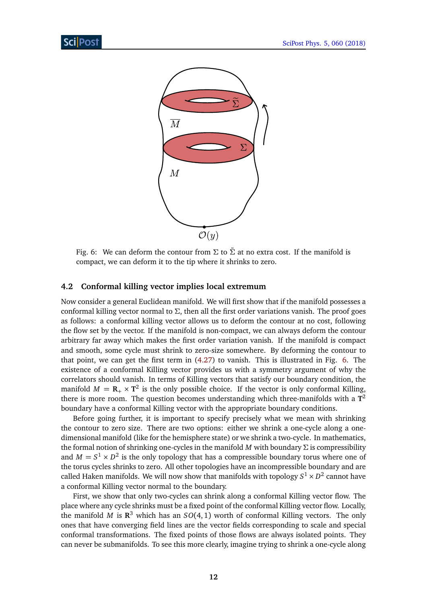<span id="page-12-1"></span>

Fig. 6: We can deform the contour from  $\Sigma$  to  $\tilde{\Sigma}$  at no extra cost. If the manifold is compact, we can deform it to the tip where it shrinks to zero.

#### <span id="page-12-0"></span>**4.2 Conformal killing vector implies local extremum**

Now consider a general Euclidean manifold. We will first show that if the manifold possesses a conformal killing vector normal to *Σ*, then all the first order variations vanish. The proof goes as follows: a conformal killing vector allows us to deform the contour at no cost, following the flow set by the vector. If the manifold is non-compact, we can always deform the contour arbitrary far away which makes the first order variation vanish. If the manifold is compact and smooth, some cycle must shrink to zero-size somewhere. By deforming the contour to that point, we can get the first term in [\(4.27\)](#page-11-2) to vanish. This is illustrated in Fig. [6.](#page-12-1) The existence of a conformal Killing vector provides us with a symmetry argument of why the correlators should vanish. In terms of Killing vectors that satisfy our boundary condition, the manifold  $M = \mathbf{R}_{+} \times \mathbf{T}^{2}$  is the only possible choice. If the vector is only conformal Killing, there is more room. The question becomes understanding which three-manifolds with a **T** 2 boundary have a conformal Killing vector with the appropriate boundary conditions.

Before going further, it is important to specify precisely what we mean with shrinking the contour to zero size. There are two options: either we shrink a one-cycle along a onedimensional manifold (like for the hemisphere state) or we shrink a two-cycle. In mathematics, the formal notion of shrinking one-cycles in the manifold *M* with boundary *Σ* is compressibility and  $M = S^1 \times D^2$  is the only topology that has a compressible boundary torus where one of the torus cycles shrinks to zero. All other topologies have an incompressible boundary and are called Haken manifolds. We will now show that manifolds with topology  $S^1 \times D^2$  cannot have a conformal Killing vector normal to the boundary.

First, we show that only two-cycles can shrink along a conformal Killing vector flow. The place where any cycle shrinks must be a fixed point of the conformal Killing vector flow. Locally, the manifold *M* is  $\mathbb{R}^3$  which has an  $SO(4,1)$  worth of conformal Killing vectors. The only ones that have converging field lines are the vector fields corresponding to scale and special conformal transformations. The fixed points of those flows are always isolated points. They can never be submanifolds. To see this more clearly, imagine trying to shrink a one-cycle along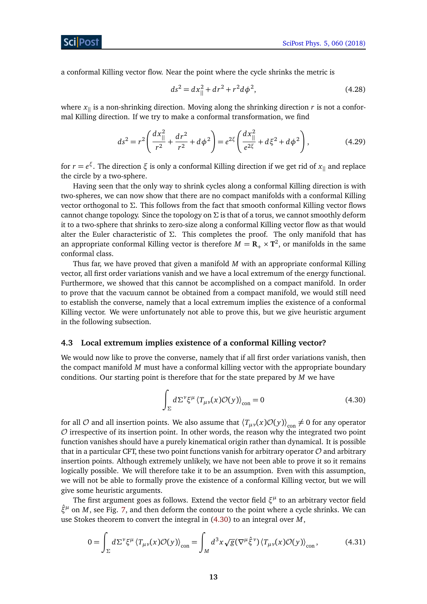ScilPos<sup>.</sup>

a conformal Killing vector flow. Near the point where the cycle shrinks the metric is

$$
ds^2 = dx_{\parallel}^2 + dr^2 + r^2 d\phi^2,
$$
\t(4.28)

where  $x_{\parallel}$  is a non-shrinking direction. Moving along the shrinking direction *r* is not a conformal Killing direction. If we try to make a conformal transformation, we find

$$
ds^{2} = r^{2} \left( \frac{dx_{\parallel}^{2}}{r^{2}} + \frac{dr^{2}}{r^{2}} + d\phi^{2} \right) = e^{2\xi} \left( \frac{dx_{\parallel}^{2}}{e^{2\xi}} + d\xi^{2} + d\phi^{2} \right),
$$
 (4.29)

for *r* = *e ξ* . The direction *ξ* is only a conformal Killing direction if we get rid of *x*|| and replace the circle by a two-sphere.

Having seen that the only way to shrink cycles along a conformal Killing direction is with two-spheres, we can now show that there are no compact manifolds with a conformal Killing vector orthogonal to *Σ*. This follows from the fact that smooth conformal Killing vector flows cannot change topology. Since the topology on *Σ* is that of a torus, we cannot smoothly deform it to a two-sphere that shrinks to zero-size along a conformal Killing vector flow as that would alter the Euler characteristic of *Σ*. This completes the proof. The only manifold that has an appropriate conformal Killing vector is therefore  $M = \mathbf{R}_{+} \times \mathbf{T}^{2}$ , or manifolds in the same conformal class.

Thus far, we have proved that given a manifold *M* with an appropriate conformal Killing vector, all first order variations vanish and we have a local extremum of the energy functional. Furthermore, we showed that this cannot be accomplished on a compact manifold. In order to prove that the vacuum cannot be obtained from a compact manifold, we would still need to establish the converse, namely that a local extremum implies the existence of a conformal Killing vector. We were unfortunately not able to prove this, but we give heuristic argument in the following subsection.

#### <span id="page-13-0"></span>**4.3 Local extremum implies existence of a conformal Killing vector?**

We would now like to prove the converse, namely that if all first order variations vanish, then the compact manifold *M* must have a conformal killing vector with the appropriate boundary conditions. Our starting point is therefore that for the state prepared by *M* we have

<span id="page-13-2"></span><span id="page-13-1"></span>
$$
\int_{\Sigma} d\Sigma^{\nu} \xi^{\mu} \left\langle T_{\mu\nu}(x) \mathcal{O}(y) \right\rangle_{\text{con}} = 0 \tag{4.30}
$$

for all  $O$  and all insertion points. We also assume that  $\langle T_{\mu\nu}(x)O(y)\rangle_{\text{con}} \neq 0$  for any operator  $\mathcal O$  irrespective of its insertion point. In other words, the reason why the integrated two point function vanishes should have a purely kinematical origin rather than dynamical. It is possible that in a particular CFT, these two point functions vanish for arbitrary operator  $\mathcal O$  and arbitrary insertion points. Although extremely unlikely, we have not been able to prove it so it remains logically possible. We will therefore take it to be an assumption. Even with this assumption, we will not be able to formally prove the existence of a conformal Killing vector, but we will give some heuristic arguments.

The first argument goes as follows. Extend the vector field  $\xi^{\mu}$  to an arbitrary vector field *ξ*ˆ*<sup>µ</sup>* on *M*, see Fig. [7,](#page-14-1) and then deform the contour to the point where a cycle shrinks. We can use Stokes theorem to convert the integral in [\(4.30\)](#page-13-1) to an integral over *M*,

$$
0 = \int_{\Sigma} d\Sigma^{\nu} \xi^{\mu} \left\langle T_{\mu\nu}(x) \mathcal{O}(y) \right\rangle_{\text{con}} = \int_{M} d^{3}x \sqrt{g} (\nabla^{\mu} \hat{\xi}^{\nu}) \left\langle T_{\mu\nu}(x) \mathcal{O}(y) \right\rangle_{\text{con}}, \tag{4.31}
$$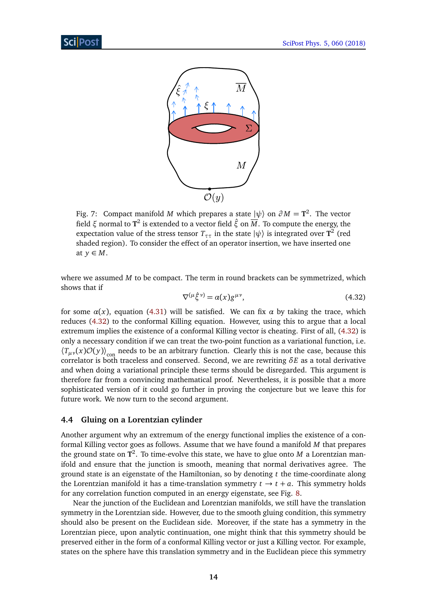<span id="page-14-1"></span>

Fig. 7: Compact manifold *M* which prepares a state  $|\psi\rangle$  on  $\partial M = \mathbf{T}^2$ . The vector field *ξ* normal to **T** 2 is extended to a vector field *ξ*ˆ on *M*. To compute the energy, the expectation value of the stress tensor  $T_{\tau\tau}$  in the state  $\ket{\psi}$  is integrated over  $\texttt{T}^2$  (red shaded region). To consider the effect of an operator insertion, we have inserted one at  $y \in M$ .

<span id="page-14-2"></span>where we assumed *M* to be compact. The term in round brackets can be symmetrized, which shows that if

$$
\nabla^{(\mu \hat{\xi}^{\nu})} = \alpha(x) g^{\mu \nu},\tag{4.32}
$$

for some  $\alpha(x)$ , equation [\(4.31\)](#page-13-2) will be satisfied. We can fix  $\alpha$  by taking the trace, which reduces [\(4.32\)](#page-14-2) to the conformal Killing equation. However, using this to argue that a local extremum implies the existence of a conformal Killing vector is cheating. First of all, [\(4.32\)](#page-14-2) is only a necessary condition if we can treat the two-point function as a variational function, i.e.  $\langle T_{\mu\nu}(x) \mathcal{O}(y) \rangle$ <sub>con</sub> needs to be an arbitrary function. Clearly this is not the case, because this correlator is both traceless and conserved. Second, we are rewriting *δE* as a total derivative and when doing a variational principle these terms should be disregarded. This argument is therefore far from a convincing mathematical proof. Nevertheless, it is possible that a more sophisticated version of it could go further in proving the conjecture but we leave this for future work. We now turn to the second argument.

#### <span id="page-14-0"></span>**4.4 Gluing on a Lorentzian cylinder**

Another argument why an extremum of the energy functional implies the existence of a conformal Killing vector goes as follows. Assume that we have found a manifold *M* that prepares the ground state on **T** 2 . To time-evolve this state, we have to glue onto *M* a Lorentzian manifold and ensure that the junction is smooth, meaning that normal derivatives agree. The ground state is an eigenstate of the Hamiltonian, so by denoting *t* the time-coordinate along the Lorentzian manifold it has a time-translation symmetry  $t \rightarrow t + a$ . This symmetry holds for any correlation function computed in an energy eigenstate, see Fig. [8.](#page-15-1)

Near the junction of the Euclidean and Lorentzian manifolds, we still have the translation symmetry in the Lorentzian side. However, due to the smooth gluing condition, this symmetry should also be present on the Euclidean side. Moreover, if the state has a symmetry in the Lorentzian piece, upon analytic continuation, one might think that this symmetry should be preserved either in the form of a conformal Killing vector or just a Killing vector. For example, states on the sphere have this translation symmetry and in the Euclidean piece this symmetry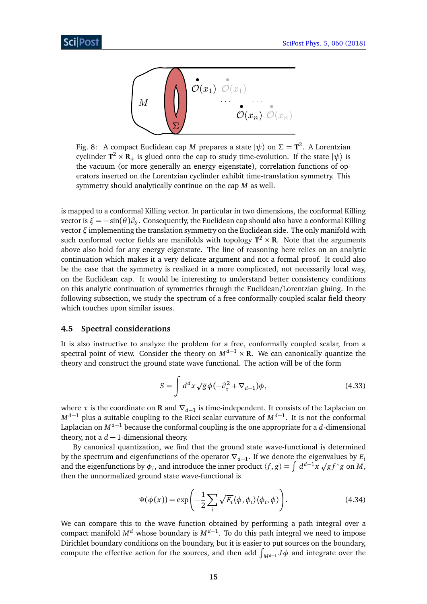<span id="page-15-1"></span>

Fig. 8: A compact Euclidean cap  $M$  prepares a state  $|\psi\rangle$  on  $\Sigma = \textbf{T}^2$ . A Lorentzian cyclinder  $T^2 \times R_+$  is glued onto the cap to study time-evolution. If the state  $|\psi\rangle$  is the vacuum (or more generally an energy eigenstate), correlation functions of operators inserted on the Lorentzian cyclinder exhibit time-translation symmetry. This symmetry should analytically continue on the cap *M* as well.

is mapped to a conformal Killing vector. In particular in two dimensions, the conformal Killing vector is *ξ* = −sin(*θ*)*∂<sup>θ</sup>* . Consequently, the Euclidean cap should also have a conformal Killing vector *ξ* implementing the translation symmetry on the Euclidean side. The only manifold with such conformal vector fields are manifolds with topology  $T^2\times R$ . Note that the arguments above also hold for any energy eigenstate. The line of reasoning here relies on an analytic continuation which makes it a very delicate argument and not a formal proof. It could also be the case that the symmetry is realized in a more complicated, not necessarily local way, on the Euclidean cap. It would be interesting to understand better consistency conditions on this analytic continuation of symmetries through the Euclidean/Lorentzian gluing. In the following subsection, we study the spectrum of a free conformally coupled scalar field theory which touches upon similar issues.

#### <span id="page-15-0"></span>**4.5 Spectral considerations**

It is also instructive to analyze the problem for a free, conformally coupled scalar, from a spectral point of view. Consider the theory on  $M^{d-1} \times \mathbf{R}$ . We can canonically quantize the theory and construct the ground state wave functional. The action will be of the form

$$
S = \int d^d x \sqrt{g} \phi \left( -\partial_\tau^2 + \nabla_{d-1} \right) \phi, \tag{4.33}
$$

where *τ* is the coordinate on **R** and ∇*d*−<sup>1</sup> is time-independent. It consists of the Laplacian on *M*<sup>*d*−1</sup> plus a suitable coupling to the Ricci scalar curvature of *M<sup>d−1</sup>*. It is not the conformal Laplacian on  $M^{d-1}$  because the conformal coupling is the one appropriate for a *d*-dimensional theory, not a  $d-1$ -dimensional theory.

By canonical quantization, we find that the ground state wave-functional is determined by the spectrum and eigenfunctions of the operator ∇*d*−<sup>1</sup> . If we denote the eigenvalues by *E<sup>i</sup>* by the spectrum and eigenfunctions of the operator  $v_{d-1}$ , if we denote the eigenvalues by  $E_i$  and the eigenfunctions by  $\phi_i$ , and introduce the inner product  $\langle f, g \rangle = \int d^{d-1}x \sqrt{g} f^* g$  on *M*, then the unnormalized ground state wave-functional is

$$
\Psi(\phi(x)) = \exp\left(-\frac{1}{2}\sum_{i} \sqrt{E_i} \langle \phi, \phi_i \rangle \langle \phi_i, \phi \rangle\right).
$$
 (4.34)

We can compare this to the wave function obtained by performing a path integral over a compact manifold *M<sup>d</sup>* whose boundary is *Md*−<sup>1</sup> . To do this path integral we need to impose Dirichlet boundary conditions on the boundary, but it is easier to put sources on the boundary, compute the effective action for the sources, and then add  $\int_{M^{d-1}} J \phi$  and integrate over the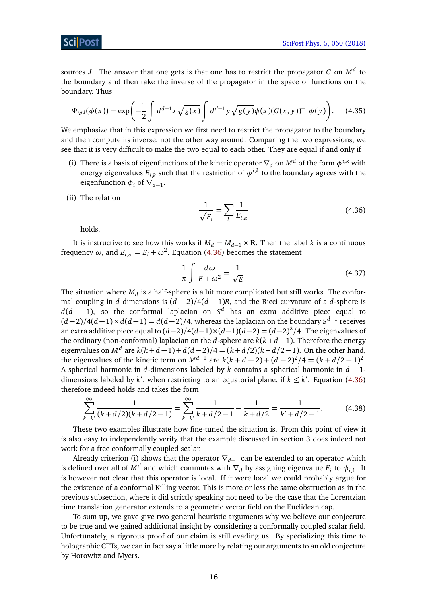ScilPos<sup>.</sup>

sources *J*. The answer that one gets is that one has to restrict the propagator *G* on *M<sup>d</sup>* to the boundary and then take the inverse of the propagator in the space of functions on the boundary. Thus

$$
\Psi_{M^d}(\phi(x)) = \exp\left(-\frac{1}{2}\int d^{d-1}x \sqrt{g(x)} \int d^{d-1}y \sqrt{g(y)} \phi(x) (G(x,y))^{-1} \phi(y)\right).
$$
 (4.35)

We emphasize that in this expression we first need to restrict the propagator to the boundary and then compute its inverse, not the other way around. Comparing the two expressions, we see that it is very difficult to make the two equal to each other. They are equal if and only if

- (i) There is a basis of eigenfunctions of the kinetic operator  $\nabla_d$  on  $M^d$  of the form  $\phi^{i,k}$  with energy eigenvalues  $E_{i,k}$  such that the restriction of  $\phi^{i,k}$  to the boundary agrees with the eigenfunction  $\phi_i$  of  $\nabla_{d-1}$ .
- (ii) The relation

$$
\frac{1}{\sqrt{E_i}} = \sum_k \frac{1}{E_{i,k}}
$$
(4.36)

<span id="page-16-0"></span>holds.

It is instructive to see how this works if  $M_d = M_{d-1} \times \mathbf{R}$ . Then the label *k* is a continuous frequency *ω*, and  $E_{i,\omega} = E_i + \omega^2$ . Equation [\(4.36\)](#page-16-0) becomes the statement

$$
\frac{1}{\pi} \int \frac{d\omega}{E + \omega^2} = \frac{1}{\sqrt{E}}.
$$
\n(4.37)

The situation where  $M_d$  is a half-sphere is a bit more complicated but still works. The conformal coupling in *d* dimensions is (*d* − 2)*/*4(*d* − 1)*R*, and the Ricci curvature of a *d*-sphere is *d*(*d* − 1), so the conformal laplacian on *S <sup>d</sup>* has an extra additive piece equal to  $(d-2)/4(d-1) \times d(d-1) = d(d-2)/4$ , whereas the laplacian on the boundary  $S^{d-1}$  receives an extra additive piece equal to (*d*−2)*/*4(*d*−1)×(*d*−1)(*d*−2) = (*d*−2) 2 */*4. The eigenvalues of the ordinary (non-conformal) laplacian on the *d*-sphere are *k*(*k*+*d* −1). Therefore the energy eigenvalues on  $M^d$  are  $k(k+d-1) + d(d-2)/4 = (k+d/2)(k+d/2-1)$ . On the other hand, the eigenvalues of the kinetic term on  $M^{d-1}$  are  $k(k + d - 2) + (d - 2)^2/4 = (k + d/2 - 1)^2$ . A spherical harmonic in *d*-dimensions labeled by *k* contains a spherical harmonic in *d* − 1 dimensions labeled by  $k'$ , when restricting to an equatorial plane, if  $k \leq k'$ . Equation [\(4.36\)](#page-16-0) therefore indeed holds and takes the form

$$
\sum_{k=k'}^{\infty} \frac{1}{(k+d/2)(k+d/2-1)} = \sum_{k=k'}^{\infty} \frac{1}{k+d/2-1} - \frac{1}{k+d/2} = \frac{1}{k'+d/2-1}.
$$
 (4.38)

These two examples illustrate how fine-tuned the situation is. From this point of view it is also easy to independently verify that the example discussed in section 3 does indeed not work for a free conformally coupled scalar.

Already criterion (i) shows that the operator  $\nabla$ <sub>*d*−1</sub> can be extended to an operator which is defined over all of  $M^d$  and which commutes with  $\nabla_d$  by assigning eigenvalue  $E_i$  to  $\phi_{i,k}$ . It is however not clear that this operator is local. If it were local we could probably argue for the existence of a conformal Killing vector. This is more or less the same obstruction as in the previous subsection, where it did strictly speaking not need to be the case that the Lorentzian time translation generator extends to a geometric vector field on the Euclidean cap.

To sum up, we gave give two general heuristic arguments why we believe our conjecture to be true and we gained additional insight by considering a conformally coupled scalar field. Unfortunately, a rigorous proof of our claim is still evading us. By specializing this time to holographic CFTs, we can in fact say a little more by relating our arguments to an old conjecture by Horowitz and Myers.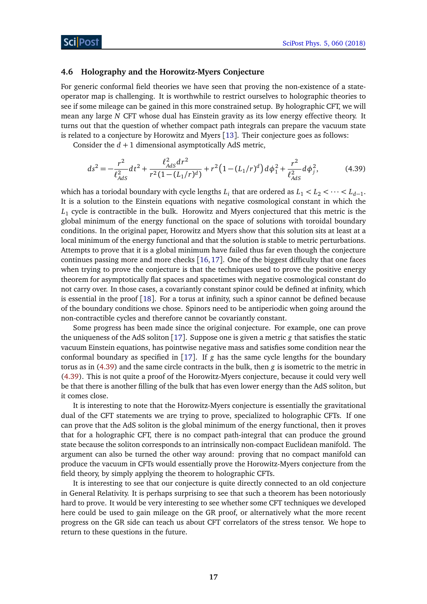#### <span id="page-17-0"></span>**4.6 Holography and the Horowitz-Myers Conjecture**

For generic conformal field theories we have seen that proving the non-existence of a stateoperator map is challenging. It is worthwhile to restrict ourselves to holographic theories to see if some mileage can be gained in this more constrained setup. By holographic CFT, we will mean any large *N* CFT whose dual has Einstein gravity as its low energy effective theory. It turns out that the question of whether compact path integrals can prepare the vacuum state is related to a conjecture by Horowitz and Myers [[13](#page-21-2)]. Their conjecture goes as follows:

Consider the  $d + 1$  dimensional asymptotically AdS metric,

<span id="page-17-1"></span>
$$
ds^{2} = -\frac{r^{2}}{\ell_{AdS}^{2}}dt^{2} + \frac{\ell_{AdS}^{2}dr^{2}}{r^{2}(1 - (L_{1}/r)^{d})} + r^{2}(1 - (L_{1}/r)^{d})d\phi_{1}^{2} + \frac{r^{2}}{\ell_{AdS}^{2}}d\phi_{j}^{2},
$$
(4.39)

which has a toriodal boundary with cycle lengths  $L_i$  that are ordered as  $L_1 < L_2 < \cdots < L_{d-1}$ . It is a solution to the Einstein equations with negative cosmological constant in which the  $L_1$  cycle is contractible in the bulk. Horowitz and Myers conjectured that this metric is the  $\,$ global minimum of the energy functional on the space of solutions with toroidal boundary conditions. In the original paper, Horowitz and Myers show that this solution sits at least at a local minimum of the energy functional and that the solution is stable to metric perturbations. Attempts to prove that it is a global minimum have failed thus far even though the conjecture continues passing more and more checks [[16,](#page-21-5)[17](#page-21-6)]. One of the biggest difficulty that one faces when trying to prove the conjecture is that the techniques used to prove the positive energy theorem for asymptotically flat spaces and spacetimes with negative cosmological constant do not carry over. In those cases, a covariantly constant spinor could be defined at infinity, which is essential in the proof [[18](#page-21-7)]. For a torus at infinity, such a spinor cannot be defined because of the boundary conditions we chose. Spinors need to be antiperiodic when going around the non-contractible cycles and therefore cannot be covariantly constant.

Some progress has been made since the original conjecture. For example, one can prove the uniqueness of the AdS soliton [[17](#page-21-6)]. Suppose one is given a metric *g* that satisfies the static vacuum Einstein equations, has pointwise negative mass and satisfies some condition near the conformal boundary as specified in [[17](#page-21-6)]. If *g* has the same cycle lengths for the boundary torus as in [\(4.39\)](#page-17-1) and the same circle contracts in the bulk, then *g* is isometric to the metric in [\(4.39\)](#page-17-1). This is not quite a proof of the Horowitz-Myers conjecture, because it could very well be that there is another filling of the bulk that has even lower energy than the AdS soliton, but it comes close.

It is interesting to note that the Horowitz-Myers conjecture is essentially the gravitational dual of the CFT statements we are trying to prove, specialized to holographic CFTs. If one can prove that the AdS soliton is the global minimum of the energy functional, then it proves that for a holographic CFT, there is no compact path-integral that can produce the ground state because the soliton corresponds to an intrinsically non-compact Euclidean manifold. The argument can also be turned the other way around: proving that no compact manifold can produce the vacuum in CFTs would essentially prove the Horowitz-Myers conjecture from the field theory, by simply applying the theorem to holographic CFTs.

It is interesting to see that our conjecture is quite directly connected to an old conjecture in General Relativity. It is perhaps surprising to see that such a theorem has been notoriously hard to prove. It would be very interesting to see whether some CFT techniques we developed here could be used to gain mileage on the GR proof, or alternatively what the more recent progress on the GR side can teach us about CFT correlators of the stress tensor. We hope to return to these questions in the future.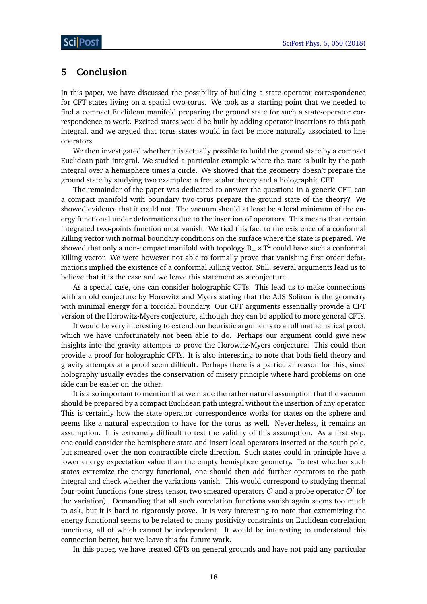### <span id="page-18-0"></span>**5 Conclusion**

In this paper, we have discussed the possibility of building a state-operator correspondence for CFT states living on a spatial two-torus. We took as a starting point that we needed to find a compact Euclidean manifold preparing the ground state for such a state-operator correspondence to work. Excited states would be built by adding operator insertions to this path integral, and we argued that torus states would in fact be more naturally associated to line operators.

We then investigated whether it is actually possible to build the ground state by a compact Euclidean path integral. We studied a particular example where the state is built by the path integral over a hemisphere times a circle. We showed that the geometry doesn't prepare the ground state by studying two examples: a free scalar theory and a holographic CFT.

The remainder of the paper was dedicated to answer the question: in a generic CFT, can a compact manifold with boundary two-torus prepare the ground state of the theory? We showed evidence that it could not. The vacuum should at least be a local minimum of the energy functional under deformations due to the insertion of operators. This means that certain integrated two-points function must vanish. We tied this fact to the existence of a conformal Killing vector with normal boundary conditions on the surface where the state is prepared. We showed that only a non-compact manifold with topology  $\mathbf{R}_+ \times \mathbf{T}^2$  could have such a conformal Killing vector. We were however not able to formally prove that vanishing first order deformations implied the existence of a conformal Killing vector. Still, several arguments lead us to believe that it is the case and we leave this statement as a conjecture.

As a special case, one can consider holographic CFTs. This lead us to make connections with an old conjecture by Horowitz and Myers stating that the AdS Soliton is the geometry with minimal energy for a toroidal boundary. Our CFT arguments essentially provide a CFT version of the Horowitz-Myers conjecture, although they can be applied to more general CFTs.

It would be very interesting to extend our heuristic arguments to a full mathematical proof, which we have unfortunately not been able to do. Perhaps our argument could give new insights into the gravity attempts to prove the Horowitz-Myers conjecture. This could then provide a proof for holographic CFTs. It is also interesting to note that both field theory and gravity attempts at a proof seem difficult. Perhaps there is a particular reason for this, since holography usually evades the conservation of misery principle where hard problems on one side can be easier on the other.

It is also important to mention that we made the rather natural assumption that the vacuum should be prepared by a compact Euclidean path integral without the insertion of any operator. This is certainly how the state-operator correspondence works for states on the sphere and seems like a natural expectation to have for the torus as well. Nevertheless, it remains an assumption. It is extremely difficult to test the validity of this assumption. As a first step, one could consider the hemisphere state and insert local operators inserted at the south pole, but smeared over the non contractible circle direction. Such states could in principle have a lower energy expectation value than the empty hemisphere geometry. To test whether such states extremize the energy functional, one should then add further operators to the path integral and check whether the variations vanish. This would correspond to studying thermal four-point functions (one stress-tensor, two smeared operators  $\mathcal O$  and a probe operator  $\mathcal O'$  for the variation). Demanding that all such correlation functions vanish again seems too much to ask, but it is hard to rigorously prove. It is very interesting to note that extremizing the energy functional seems to be related to many positivity constraints on Euclidean correlation functions, all of which cannot be independent. It would be interesting to understand this connection better, but we leave this for future work.

In this paper, we have treated CFTs on general grounds and have not paid any particular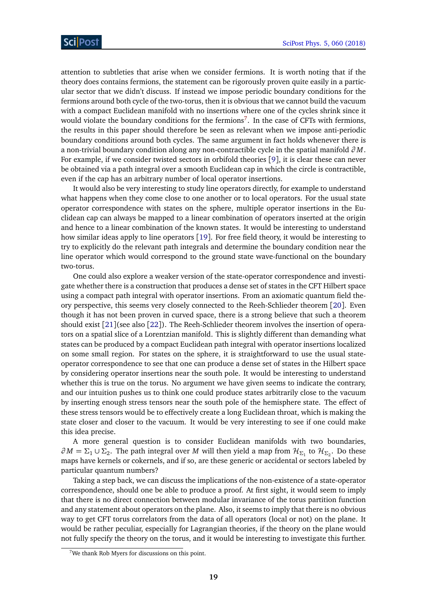attention to subtleties that arise when we consider fermions. It is worth noting that if the theory does contains fermions, the statement can be rigorously proven quite easily in a particular sector that we didn't discuss. If instead we impose periodic boundary conditions for the fermions around both cycle of the two-torus, then it is obvious that we cannot build the vacuum with a compact Euclidean manifold with no insertions where one of the cycles shrink since it would violate the boundary conditions for the fermions<sup>[7](#page-19-0)</sup>. In the case of CFTs with fermions, the results in this paper should therefore be seen as relevant when we impose anti-periodic boundary conditions around both cycles. The same argument in fact holds whenever there is a non-trivial boundary condition along any non-contractible cycle in the spatial manifold *∂ M*. For example, if we consider twisted sectors in orbifold theories [[9](#page-20-6)], it is clear these can never be obtained via a path integral over a smooth Euclidean cap in which the circle is contractible, even if the cap has an arbitrary number of local operator insertions.

It would also be very interesting to study line operators directly, for example to understand what happens when they come close to one another or to local operators. For the usual state operator correspondence with states on the sphere, multiple operator insertions in the Euclidean cap can always be mapped to a linear combination of operators inserted at the origin and hence to a linear combination of the known states. It would be interesting to understand how similar ideas apply to line operators [[19](#page-21-8)]. For free field theory, it would be interesting to try to explicitly do the relevant path integrals and determine the boundary condition near the line operator which would correspond to the ground state wave-functional on the boundary two-torus.

One could also explore a weaker version of the state-operator correspondence and investigate whether there is a construction that produces a dense set of states in the CFT Hilbert space using a compact path integral with operator insertions. From an axiomatic quantum field theory perspective, this seems very closely connected to the Reeh-Schlieder theorem [[20](#page-21-9)]. Even though it has not been proven in curved space, there is a strong believe that such a theorem should exist [[21](#page-21-10)](see also [[22](#page-21-11)]). The Reeh-Schlieder theorem involves the insertion of operators on a spatial slice of a Lorentzian manifold. This is slightly different than demanding what states can be produced by a compact Euclidean path integral with operator insertions localized on some small region. For states on the sphere, it is straightforward to use the usual stateoperator correspondence to see that one can produce a dense set of states in the Hilbert space by considering operator insertions near the south pole. It would be interesting to understand whether this is true on the torus. No argument we have given seems to indicate the contrary, and our intuition pushes us to think one could produce states arbitrarily close to the vacuum by inserting enough stress tensors near the south pole of the hemisphere state. The effect of these stress tensors would be to effectively create a long Euclidean throat, which is making the state closer and closer to the vacuum. It would be very interesting to see if one could make this idea precise.

A more general question is to consider Euclidean manifolds with two boundaries,  $∂M = Σ_1 ∪ Σ_2$ . The path integral over *M* will then yield a map from  $H_{Σ_1}$  to  $H_{Σ_2}$ . Do these maps have kernels or cokernels, and if so, are these generic or accidental or sectors labeled by particular quantum numbers?

Taking a step back, we can discuss the implications of the non-existence of a state-operator correspondence, should one be able to produce a proof. At first sight, it would seem to imply that there is no direct connection between modular invariance of the torus partition function and any statement about operators on the plane. Also, it seems to imply that there is no obvious way to get CFT torus correlators from the data of all operators (local or not) on the plane. It would be rather peculiar, especially for Lagrangian theories, if the theory on the plane would not fully specify the theory on the torus, and it would be interesting to investigate this further.

<span id="page-19-0"></span><sup>&</sup>lt;sup>7</sup>We thank Rob Myers for discussions on this point.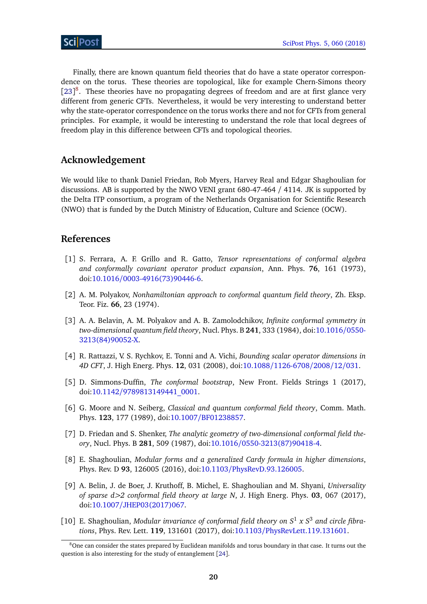Finally, there are known quantum field theories that do have a state operator correspondence on the torus. These theories are topological, like for example Chern-Simons theory  $[23]$  $[23]$  $[23]$ <sup>[8](#page-20-8)</sup>. These theories have no propagating degrees of freedom and are at first glance very different from generic CFTs. Nevertheless, it would be very interesting to understand better why the state-operator correspondence on the torus works there and not for CFTs from general principles. For example, it would be interesting to understand the role that local degrees of freedom play in this difference between CFTs and topological theories.

### **Acknowledgement**

We would like to thank Daniel Friedan, Rob Myers, Harvey Real and Edgar Shaghoulian for discussions. AB is supported by the NWO VENI grant 680-47-464 / 4114. JK is supported by the Delta ITP consortium, a program of the Netherlands Organisation for Scientific Research (NWO) that is funded by the Dutch Ministry of Education, Culture and Science (OCW).

### **References**

- <span id="page-20-0"></span>[1] S. Ferrara, A. F. Grillo and R. Gatto, *Tensor representations of conformal algebra and conformally covariant operator product expansion*, Ann. Phys. **76**, 161 (1973), doi:10.1016/[0003-4916\(73\)90446-6.](http://dx.doi.org/10.1016/0003-4916(73)90446-6)
- [2] A. M. Polyakov, *Nonhamiltonian approach to conformal quantum field theory*, Zh. Eksp. Teor. Fiz. **66**, 23 (1974).
- [3] A. A. Belavin, A. M. Polyakov and A. B. Zamolodchikov, *Infinite conformal symmetry in two-dimensional quantum field theory*, Nucl. Phys. B **241**, 333 (1984), doi[:10.1016](http://dx.doi.org/10.1016/0550-3213(84)90052-X)/0550- [3213\(84\)90052-X.](http://dx.doi.org/10.1016/0550-3213(84)90052-X)
- <span id="page-20-1"></span>[4] R. Rattazzi, V. S. Rychkov, E. Tonni and A. Vichi, *Bounding scalar operator dimensions in 4D CFT*, J. High Energ. Phys. **12**, 031 (2008), doi:10.1088/[1126-6708](http://dx.doi.org/10.1088/1126-6708/2008/12/031)/2008/12/031.
- <span id="page-20-2"></span>[5] D. Simmons-Duffin, *The conformal bootstrap*, New Front. Fields Strings 1 (2017), doi:10.1142/[9789813149441\\_0001.](http://dx.doi.org/10.1142/9789813149441_0001)
- <span id="page-20-3"></span>[6] G. Moore and N. Seiberg, *Classical and quantum conformal field theory*, Comm. Math. Phys. **123**, 177 (1989), doi:10.1007/[BF01238857.](http://dx.doi.org/10.1007/BF01238857)
- <span id="page-20-4"></span>[7] D. Friedan and S. Shenker, *The analytic geometry of two-dimensional conformal field theory*, Nucl. Phys. B **281**, 509 (1987), doi:10.1016/[0550-3213\(87\)90418-4.](http://dx.doi.org/10.1016/0550-3213(87)90418-4)
- <span id="page-20-5"></span>[8] E. Shaghoulian, *Modular forms and a generalized Cardy formula in higher dimensions*, Phys. Rev. D **93**, 126005 (2016), doi:10.1103/[PhysRevD.93.126005.](http://dx.doi.org/10.1103/PhysRevD.93.126005)
- <span id="page-20-6"></span>[9] A. Belin, J. de Boer, J. Kruthoff, B. Michel, E. Shaghoulian and M. Shyani, *Universality of sparse d>2 conformal field theory at large N*, J. High Energ. Phys. **03**, 067 (2017), doi:10.1007/[JHEP03\(2017\)067.](http://dx.doi.org/10.1007/JHEP03(2017)067)
- <span id="page-20-7"></span>[10] E. Shaghoulian, *Modular invariance of conformal field theory on S*<sup>1</sup> *x S*<sup>3</sup> *and circle fibrations*, Phys. Rev. Lett. **119**, 131601 (2017), doi:10.1103/[PhysRevLett.119.131601.](http://dx.doi.org/10.1103/PhysRevLett.119.131601)

<span id="page-20-8"></span><sup>&</sup>lt;sup>8</sup>One can consider the states prepared by Euclidean manifolds and torus boundary in that case. It turns out the question is also interesting for the study of entanglement [[24](#page-21-13)].